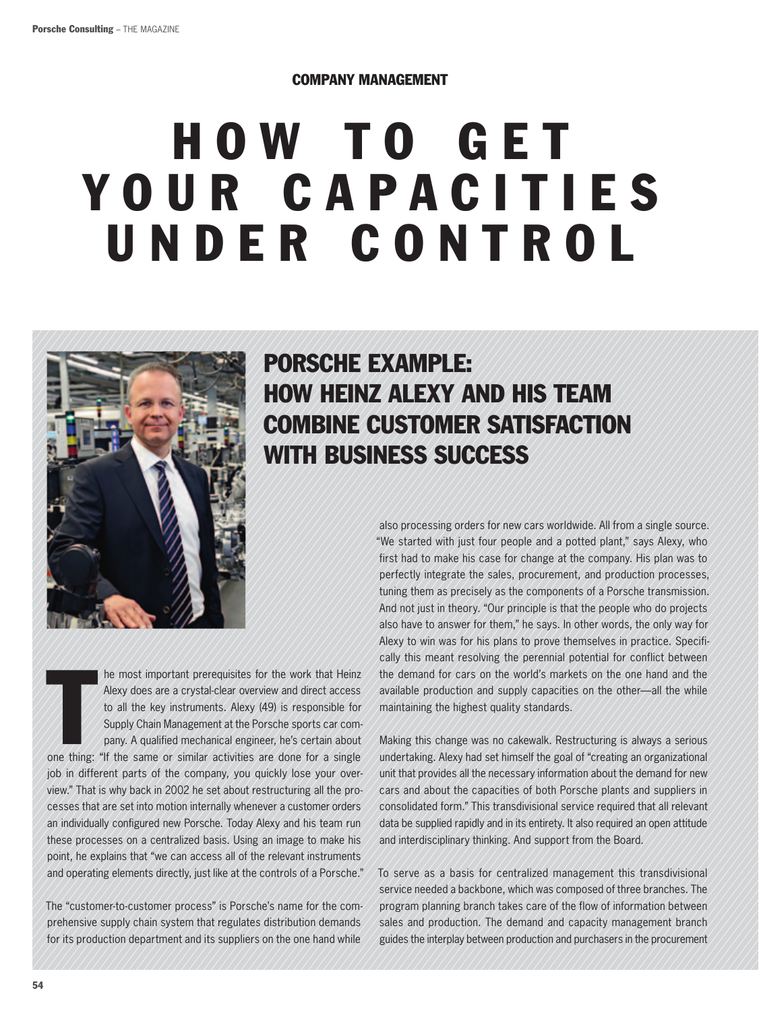#### Company management

# **HOW TO GET** YOUR CAPACITIES under control



## Porsche Example: How Heinz Alexy and his team combine customer satisfaction with business success

first had to make his case for change at the company. His plan was to perfectly integrate the sales, procurement, and production processes, tuning them as precisely as the components of a Porsche transmission. And not just in theory. "Our principle is that the people who do projects also have to answer for them," he says. In other words, the only way for Alexy to win was for his plans to prove themselves in practice. Specifically this meant resolving the perennial potential for conflict between the demand for cars on the world's markets on the one hand and the available production and supply capacities on the other—all the while maintaining the highest quality standards. he most important prerequisites for the work that Heinz

also processing orders for new cars worldwide. All from a single source. "We started with just four people and a potted plant," says Alexy, who

The most important prerequisites for the work that Heinz<br>Alexy does are a crystal-clear overview and direct access<br>to all the key instruments. Alexy (49) is responsible for<br>Supply Chain Management at the Porsche sports car Alexy does are a crystal-clear overview and direct access to all the key instruments. Alexy (49) is responsible for Supply Chain Management at the Porsche sports car company. A qualified mechanical engineer, he's certain about job in different parts of the company, you quickly lose your overview." That is why back in 2002 he set about restructuring all the processes that are set into motion internally whenever a customer orders an individually configured new Porsche. Today Alexy and his team run these processes on a centralized basis. Using an image to make his point, he explains that "we can access all of the relevant instruments and operating elements directly, just like at the controls of a Porsche."

The "customer-to-customer process" is Porsche's name for the comprehensive supply chain system that regulates distribution demands for its production department and its suppliers on the one hand while

Making this change was no cakewalk. Restructuring is always a serious undertaking. Alexy had set himself the goal of "creating an organizational unit that provides all the necessary information about the demand for new cars and about the capacities of both Porsche plants and suppliers in consolidated form." This transdivisional service required that all relevant data be supplied rapidly and in its entirety. It also required an open attitude and interdisciplinary thinking. And support from the Board.

To serve as a basis for centralized management this transdivisional service needed a backbone, which was composed of three branches. The program planning branch takes care of the flow of information between sales and production. The demand and capacity management branch guides the interplay between production and purchasers in the procurement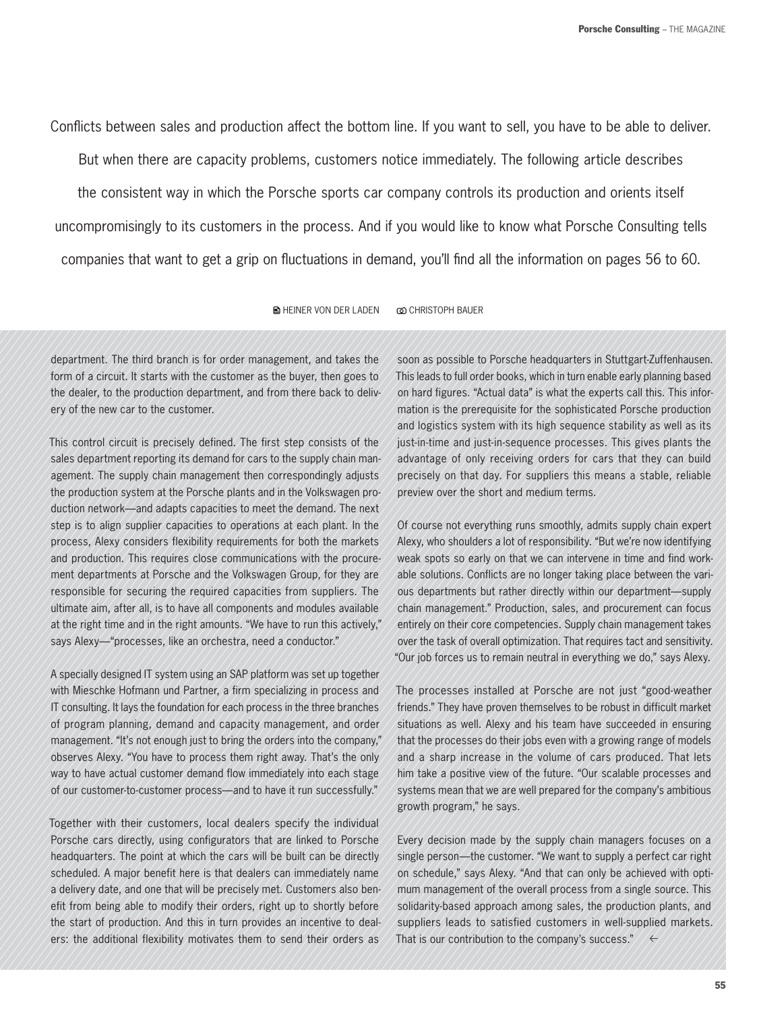Conflicts between sales and production affect the bottom line. If you want to sell, you have to be able to deliver.

But when there are capacity problems, customers notice immediately. The following article describes the consistent way in which the Porsche sports car company controls its production and orients itself uncompromisingly to its customers in the process. And if you would like to know what Porsche Consulting tells companies that want to get a grip on fluctuations in demand, you'll find all the information on pages 56 to 60.

**AHEINER VON DER LADEN CO CHRISTOPH BAUER** 

department. The third branch is for order management, and takes the form of a circuit. It starts with the customer as the buyer, then goes to the dealer, to the production department, and from there back to delivery of the new car to the customer.

This control circuit is precisely defined. The first step consists of the sales department reporting its demand for cars to the supply chain management. The supply chain management then correspondingly adjusts the production system at the Porsche plants and in the Volkswagen production network—and adapts capacities to meet the demand. The next step is to align supplier capacities to operations at each plant. In the process, Alexy considers flexibility requirements for both the markets and production. This requires close communications with the procurement departments at Porsche and the Volkswagen Group, for they are responsible for securing the required capacities from suppliers. The ultimate aim, after all, is to have all components and modules available at the right time and in the right amounts. "We have to run this actively," says Alexy—"processes, like an orchestra, need a conductor."

A specially designed IT system using an SAP platform was set up together with Mieschke Hofmann und Partner, a firm specializing in process and IT consulting. It lays the foundation for each process in the three branches of program planning, demand and capacity management, and order management. "It's not enough just to bring the orders into the company," observes Alexy. "You have to process them right away. That's the only way to have actual customer demand flow immediately into each stage of our customer-to-customer process—and to have it run successfully."

Together with their customers, local dealers specify the individual Porsche cars directly, using configurators that are linked to Porsche headquarters. The point at which the cars will be built can be directly scheduled. A major benefit here is that dealers can immediately name a delivery date, and one that will be precisely met. Customers also benefit from being able to modify their orders, right up to shortly before the start of production. And this in turn provides an incentive to dealers: the additional flexibility motivates them to send their orders as

soon as possible to Porsche headquarters in Stuttgart-Zuffenhausen. This leads to full order books, which in turn enable early planning based on hard figures. "Actual data" is what the experts call this. This information is the prerequisite for the sophisticated Porsche production and logistics system with its high sequence stability as well as its just-in-time and just-in-sequence processes. This gives plants the advantage of only receiving orders for cars that they can build precisely on that day. For suppliers this means a stable, reliable preview over the short and medium terms.

Of course not everything runs smoothly, admits supply chain expert Alexy, who shoulders a lot of responsibility. "But we're now identifying weak spots so early on that we can intervene in time and find workable solutions. Conflicts are no longer taking place between the various departments but rather directly within our department—supply chain management." Production, sales, and procurement can focus entirely on their core competencies. Supply chain management takes over the task of overall optimization. That requires tact and sensitivity. "Our job forces us to remain neutral in everything we do," says Alexy.

The processes installed at Porsche are not just "good-weather friends." They have proven themselves to be robust in difficult market situations as well. Alexy and his team have succeeded in ensuring that the processes do their jobs even with a growing range of models and a sharp increase in the volume of cars produced. That lets him take a positive view of the future. "Our scalable processes and systems mean that we are well prepared for the company's ambitious growth program," he says.

Every decision made by the supply chain managers focuses on a single person—the customer. "We want to supply a perfect car right on schedule," says Alexy. "And that can only be achieved with optimum management of the overall process from a single source. This solidarity-based approach among sales, the production plants, and suppliers leads to satisfied customers in well-supplied markets. That is our contribution to the company's success."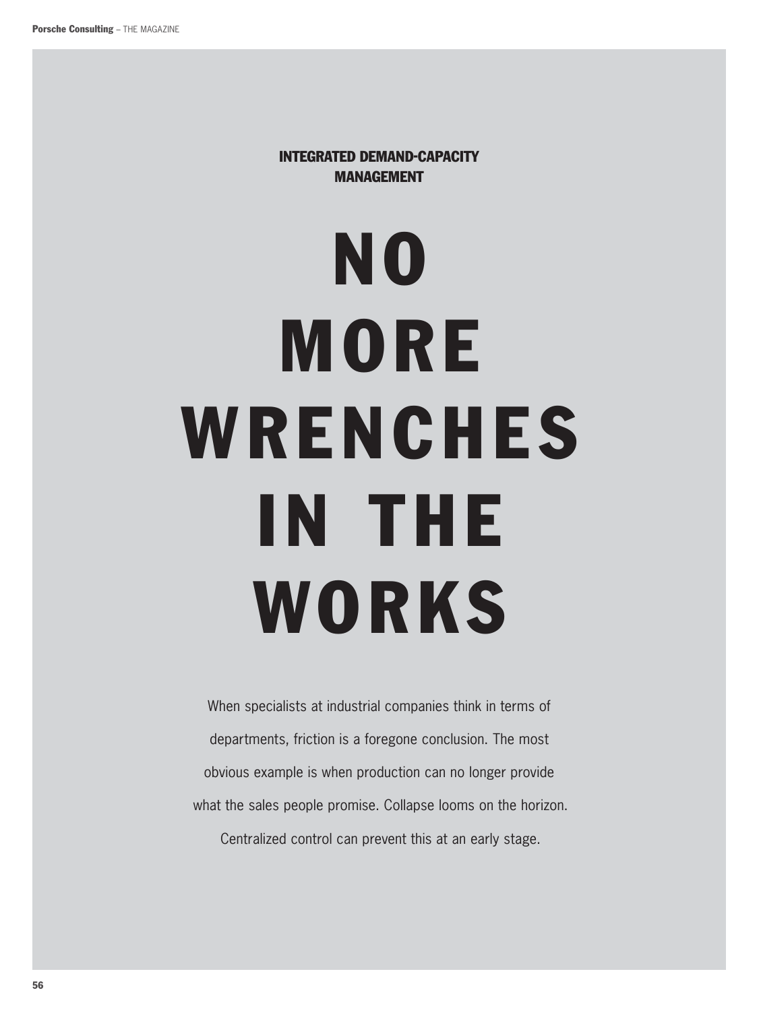Integrated Demand-Capacity **MANAGEMENT** 

# No MORE WRENCHES in the **WORKS**

When specialists at industrial companies think in terms of departments, friction is a foregone conclusion. The most obvious example is when production can no longer provide what the sales people promise. Collapse looms on the horizon.

Centralized control can prevent this at an early stage.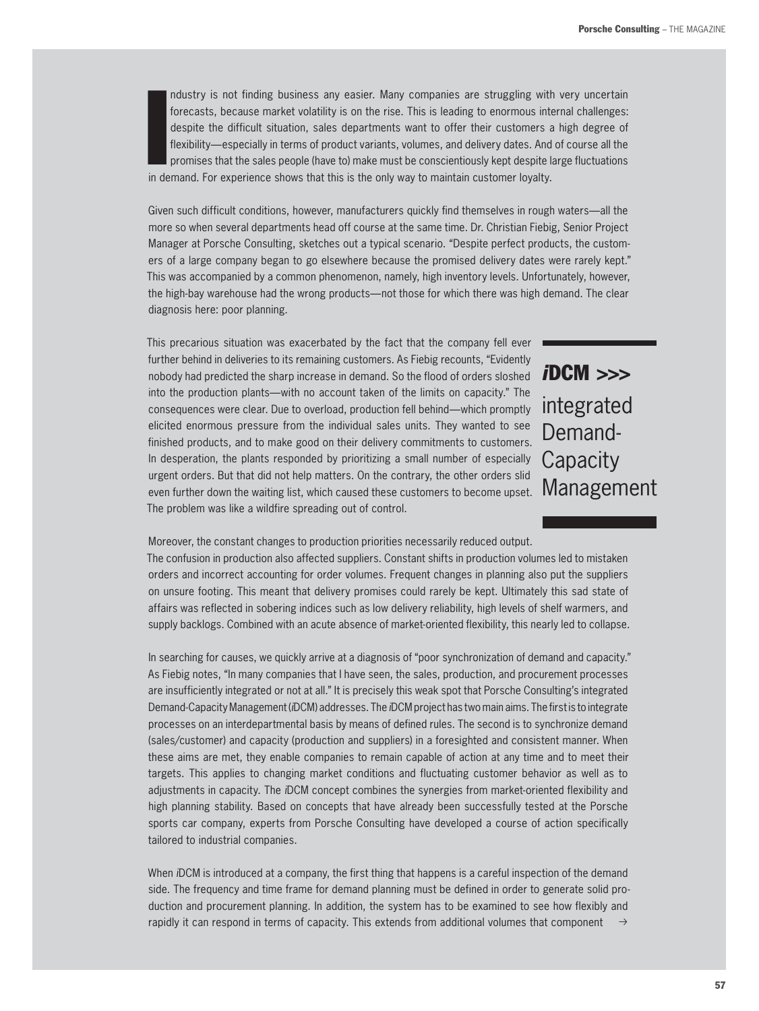In dustry is not finding business any easier. Many companies are struggling with<br>forecasts, because market volatility is on the rise. This is leading to enormous int<br>despite the difficult situation, sales departments want ndustry is not finding business any easier. Many companies are struggling with very uncertain forecasts, because market volatility is on the rise. This is leading to enormous internal challenges: despite the difficult situation, sales departments want to offer their customers a high degree of flexibility—especially in terms of product variants, volumes, and delivery dates. And of course all the promises that the sales people (have to) make must be conscientiously kept despite large fluctuations

Given such difficult conditions, however, manufacturers quickly find themselves in rough waters—all the more so when several departments head off course at the same time. Dr. Christian Fiebig, Senior Project Manager at Porsche Consulting, sketches out a typical scenario. "Despite perfect products, the customers of a large company began to go elsewhere because the promised delivery dates were rarely kept." This was accompanied by a common phenomenon, namely, high inventory levels. Unfortunately, however, the high-bay warehouse had the wrong products—not those for which there was high demand. The clear diagnosis here: poor planning.

This precarious situation was exacerbated by the fact that the company fell ever further behind in deliveries to its remaining customers. As Fiebig recounts, "Evidently nobody had predicted the sharp increase in demand. So the flood of orders sloshed into the production plants—with no account taken of the limits on capacity." The consequences were clear. Due to overload, production fell behind—which promptly elicited enormous pressure from the individual sales units. They wanted to see finished products, and to make good on their delivery commitments to customers. In desperation, the plants responded by prioritizing a small number of especially urgent orders. But that did not help matters. On the contrary, the other orders slid even further down the waiting list, which caused these customers to become upset. The problem was like a wildfire spreading out of control.

### *i* DCM >>> integrated Demand-**Capacity** Management

Moreover, the constant changes to production priorities necessarily reduced output.

The confusion in production also affected suppliers. Constant shifts in production volumes led to mistaken orders and incorrect accounting for order volumes. Frequent changes in planning also put the suppliers on unsure footing. This meant that delivery promises could rarely be kept. Ultimately this sad state of affairs was reflected in sobering indices such as low delivery reliability, high levels of shelf warmers, and supply backlogs. Combined with an acute absence of market-oriented flexibility, this nearly led to collapse.

In searching for causes, we quickly arrive at a diagnosis of "poor synchronization of demand and capacity." As Fiebig notes, "In many companies that I have seen, the sales, production, and procurement processes are insufficiently integrated or not at all." It is precisely this weak spot that Porsche Consulting's integrated Demand-Capacity Management (*i*DCM) addresses. The *i*DCM project has two main aims. The first is to integrate processes on an interdepartmental basis by means of defined rules. The second is to synchronize demand (sales/customer) and capacity (production and suppliers) in a foresighted and consistent manner. When these aims are met, they enable companies to remain capable of action at any time and to meet their targets. This applies to changing market conditions and fluctuating customer behavior as well as to adjustments in capacity. The *i*DCM concept combines the synergies from market-oriented flexibility and high planning stability. Based on concepts that have already been successfully tested at the Porsche sports car company, experts from Porsche Consulting have developed a course of action specifically tailored to industrial companies.

 $\rightarrow$ When *i*DCM is introduced at a company, the first thing that happens is a careful inspection of the demand side. The frequency and time frame for demand planning must be defined in order to generate solid production and procurement planning. In addition, the system has to be examined to see how flexibly and rapidly it can respond in terms of capacity. This extends from additional volumes that component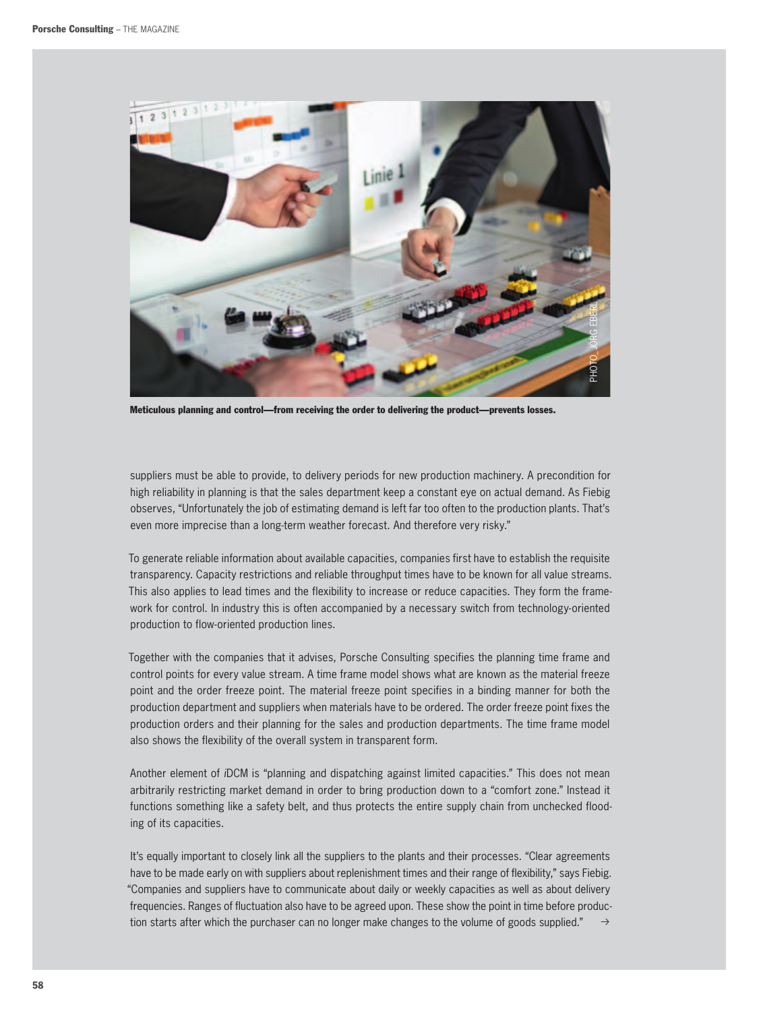

Meticulous planning and control—from receiving the order to delivering the product—prevents losses.

suppliers must be able to provide, to delivery periods for new production machinery. A precondition for high reliability in planning is that the sales department keep a constant eye on actual demand. As Fiebig observes, "Unfortunately the job of estimating demand is left far too often to the production plants. That's even more imprecise than a long-term weather forecast. And therefore very risky."

To generate reliable information about available capacities, companies first have to establish the requisite transparency. Capacity restrictions and reliable throughput times have to be known for all value streams. This also applies to lead times and the flexibility to increase or reduce capacities. They form the framework for control. In industry this is often accompanied by a necessary switch from technology-oriented production to flow-oriented production lines.

Together with the companies that it advises, Porsche Consulting specifies the planning time frame and control points for every value stream. A time frame model shows what are known as the material freeze point and the order freeze point. The material freeze point specifies in a binding manner for both the production department and suppliers when materials have to be ordered. The order freeze point fixes the production orders and their planning for the sales and production departments. The time frame model also shows the flexibility of the overall system in transparent form.

Another element of *i*DCM is "planning and dispatching against limited capacities." This does not mean arbitrarily restricting market demand in order to bring production down to a "comfort zone." Instead it functions something like a safety belt, and thus protects the entire supply chain from unchecked flooding of its capacities.

 $\rightarrow$ It's equally important to closely link all the suppliers to the plants and their processes. "Clear agreements have to be made early on with suppliers about replenishment times and their range of flexibility," says Fiebig. "Companies and suppliers have to communicate about daily or weekly capacities as well as about delivery frequencies. Ranges of fluctuation also have to be agreed upon. These show the point in time before production starts after which the purchaser can no longer make changes to the volume of goods supplied."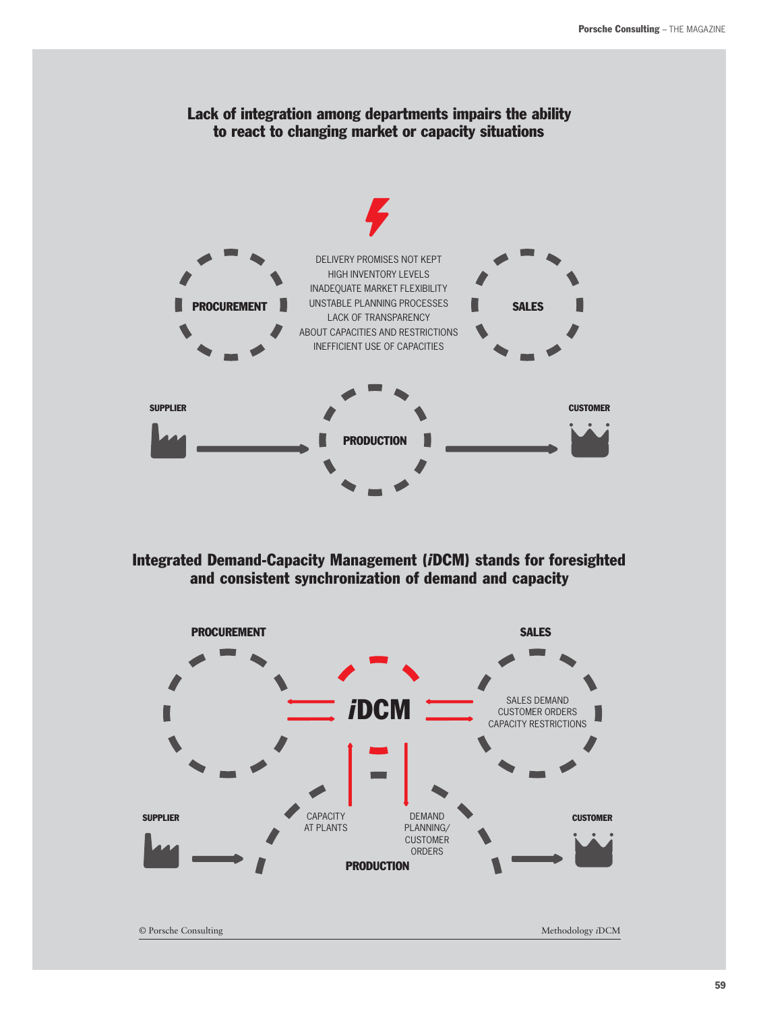

Integrated Demand-Capacity Management (*i*DCM) stands for foresighted and consistent synchronization of demand and capacity



59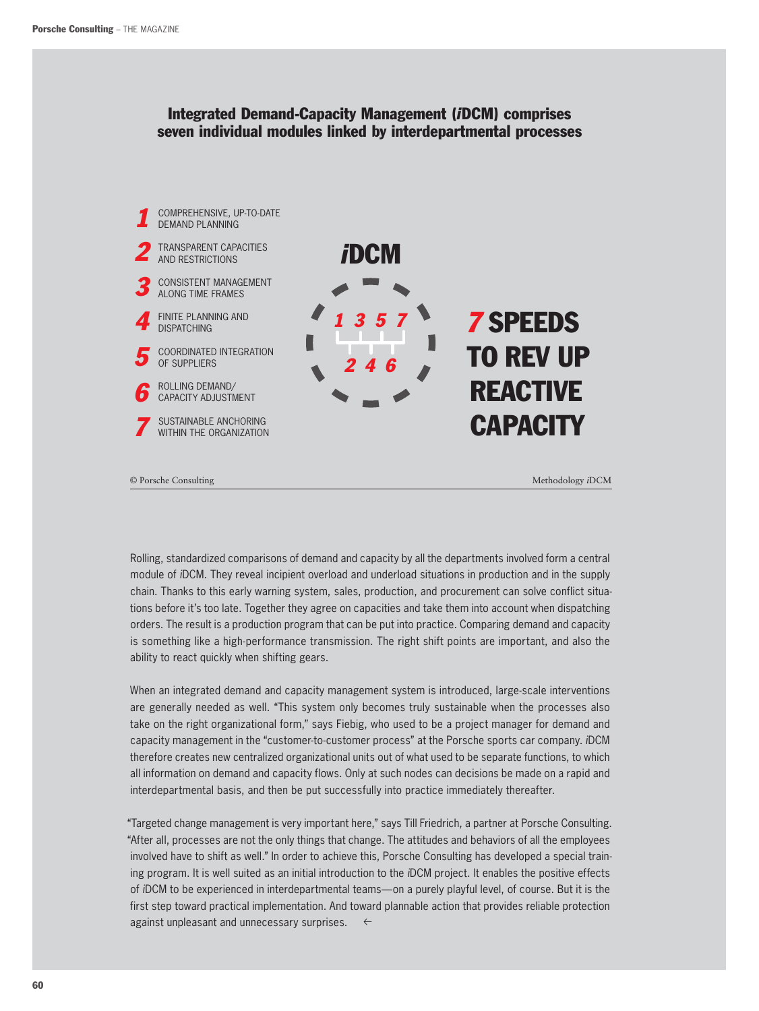### Integrated Demand-Capacity Management (*i*DCM) comprises seven individual modules linked by interdepartmental processes



© Porsche Consulting Methodology *i*DCM

Rolling, standardized comparisons of demand and capacity by all the departments involved form a central module of *i*DCM. They reveal incipient overload and underload situations in production and in the supply chain. Thanks to this early warning system, sales, production, and procurement can solve conflict situations before it's too late. Together they agree on capacities and take them into account when dispatching orders. The result is a production program that can be put into practice. Comparing demand and capacity is something like a high-performance transmission. The right shift points are important, and also the ability to react quickly when shifting gears.

When an integrated demand and capacity management system is introduced, large-scale interventions are generally needed as well. "This system only becomes truly sustainable when the processes also take on the right organizational form," says Fiebig, who used to be a project manager for demand and capacity management in the "customer-to-customer process" at the Porsche sports car company. *i*DCM therefore creates new centralized organizational units out of what used to be separate functions, to which all information on demand and capacity flows. Only at such nodes can decisions be made on a rapid and interdepartmental basis, and then be put successfully into practice immediately thereafter.

"Targeted change management is very important here," says Till Friedrich, a partner at Porsche Consulting. "After all, processes are not the only things that change. The attitudes and behaviors of all the employees involved have to shift as well." In order to achieve this, Porsche Consulting has developed a special training program. It is well suited as an initial introduction to the *i*DCM project. It enables the positive effects of *i*DCM to be experienced in interdepartmental teams—on a purely playful level, of course. But it is the first step toward practical implementation. And toward plannable action that provides reliable protection against unpleasant and unnecessary surprises.  $\leftarrow$